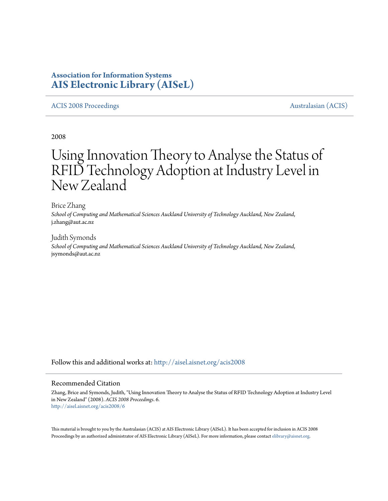# **Association for Information Systems [AIS Electronic Library \(AISeL\)](http://aisel.aisnet.org?utm_source=aisel.aisnet.org%2Facis2008%2F6&utm_medium=PDF&utm_campaign=PDFCoverPages)**

## [ACIS 2008 Proceedings](http://aisel.aisnet.org/acis2008?utm_source=aisel.aisnet.org%2Facis2008%2F6&utm_medium=PDF&utm_campaign=PDFCoverPages) [Australasian \(ACIS\)](http://aisel.aisnet.org/acis?utm_source=aisel.aisnet.org%2Facis2008%2F6&utm_medium=PDF&utm_campaign=PDFCoverPages)

2008

# Using Innovation Theory to Analyse the Status of RFID Technology Adoption at Industry Level in New Zealand

Brice Zhang *School of Computing and Mathematical Sciences Auckland University of Technology Auckland, New Zealand*, j.zhang@aut.ac.nz

Judith Symonds *School of Computing and Mathematical Sciences Auckland University of Technology Auckland, New Zealand*, jsymonds@aut.ac.nz

Follow this and additional works at: [http://aisel.aisnet.org/acis2008](http://aisel.aisnet.org/acis2008?utm_source=aisel.aisnet.org%2Facis2008%2F6&utm_medium=PDF&utm_campaign=PDFCoverPages)

## Recommended Citation

Zhang, Brice and Symonds, Judith, "Using Innovation Theory to Analyse the Status of RFID Technology Adoption at Industry Level in New Zealand" (2008). *ACIS 2008 Proceedings*. 6. [http://aisel.aisnet.org/acis2008/6](http://aisel.aisnet.org/acis2008/6?utm_source=aisel.aisnet.org%2Facis2008%2F6&utm_medium=PDF&utm_campaign=PDFCoverPages)

This material is brought to you by the Australasian (ACIS) at AIS Electronic Library (AISeL). It has been accepted for inclusion in ACIS 2008 Proceedings by an authorized administrator of AIS Electronic Library (AISeL). For more information, please contact [elibrary@aisnet.org](mailto:elibrary@aisnet.org%3E).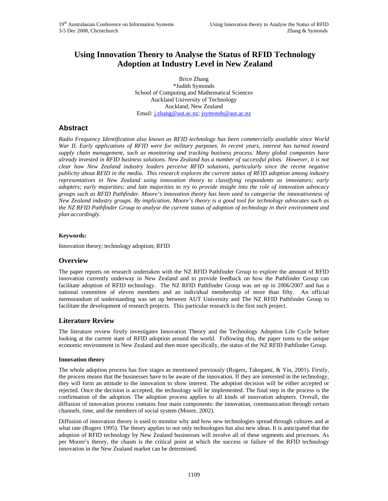## **Using Innovation Theory to Analyse the Status of RFID Technology Adoption at Industry Level in New Zealand**

Brice Zhang \*Judith Symonds School of Computing and Mathematical Sciences Auckland University of Technology Auckland, New Zealand Email: j.zhang@aut.ac.nz; jsymonds@aut.ac.nz

## **Abstract**

*Radio Frequency Identification also known as RFID technology has been commercially available since World War II. Early applications of RFID were for military purposes. In recent years, interest has turned toward supply chain management, such as monitoring and tracking business process. Many global companies have already invested in RFID business solutions. New Zealand has a number of successful pilots. However, it is not clear how New Zealand industry leaders perceive RFID solutions, particularly since the recent negative publicity about RFID in the media. This research explores the current status of RFID adoption among industry representatives in New Zealand using innovation theory to classifying respondents as innovators; early adopters; early majorities; and late majorities to try to provide insight into the role of innovation advocacy groups such as RFID Pathfinder. Moore's innovation theory has been used to categorise the innovativeness of New Zealand industry groups. By implication, Moore's theory is a good tool for technology advocates such as the NZ RFID Pathfinder Group to analyse the current status of adoption of technology in their environment and plan accordingly.* 

## **Keywords:**

Innovation theory; technology adoption; RFID

## **Overview**

The paper reports on research undertaken with the NZ RFID Pathfinder Group to explore the amount of RFID innovation currently underway in New Zealand and to provide feedback on how the Pathfinder Group can facilitate adoption of RFID technology. The NZ RFID Pathfinder Group was set up in 2006/2007 and has a national committee of eleven members and an individual membership of more than fifty. An official memorandum of understanding was set up between AUT University and The NZ RFID Pathfinder Group to facilitate the development of research projects. This particular research is the first such project.

## **Literature Review**

The literature review firstly investigates Innovation Theory and the Technology Adoption Life Cycle before looking at the current state of RFID adoption around the world. Following this, the paper turns to the unique economic environment in New Zealand and then more specifically, the status of the NZ RFID Pathfinder Group.

## **Innovation theory**

The whole adoption process has five stages as mentioned previously (Rogers, Takegami, & Yin, 2001). Firstly, the process means that the businesses have to be aware of the innovation. If they are interested in the technology, they will form an attitude to the innovation to show interest. The adoption decision will be either accepted or rejected. Once the decision is accepted, the technology will be implemented. The final step in the process is the confirmation of the adoption. The adoption process applies to all kinds of innovation adopters. Overall, the diffusion of innovation process contains four main components: the innovation, communication through certain channels, time, and the members of social system (Moore, 2002).

Diffusion of innovation theory is used to monitor why and how new technologies spread through cultures and at what rate (Rogers 1995). The theory applies to not only technologies but also new ideas. It is anticipated that the adoption of RFID technology by New Zealand businesses will involve all of these segments and processes. As per Moore's theory, the chasm is the critical point at which the success or failure of the RFID technology innovation in the New Zealand market can be determined.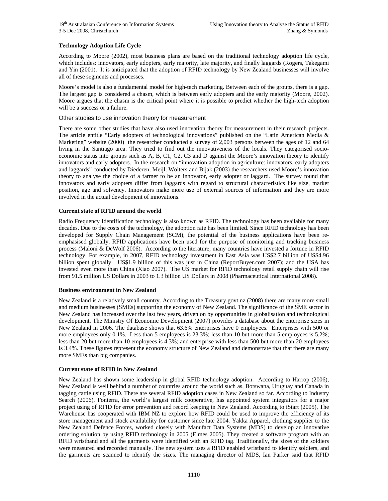## **Technology Adoption Life Cycle**

According to Moore (2002), most business plans are based on the traditional technology adoption life cycle, which includes: innovators, early adopters, early majority, late majority, and finally laggards (Rogers, Takegami and Yin (2001). It is anticipated that the adoption of RFID technology by New Zealand businesses will involve all of these segments and processes.

Moore's model is also a fundamental model for high-tech marketing. Between each of the groups, there is a gap. The largest gap is considered a chasm, which is between early adopters and the early majority (Moore, 2002). Moore argues that the chasm is the critical point where it is possible to predict whether the high-tech adoption will be a success or a failure.

## Other studies to use innovation theory for measurement

There are some other studies that have also used innovation theory for measurement in their research projects. The article entitle "Early adopters of technological innovations" published on the "Latin American Media & Marketing" website (2000) the researcher conducted a survey of 2,003 persons between the ages of 12 and 64 living in the Santiago area. They tried to find out the innovativeness of the locals. They categorised socioeconomic status into groups such as A, B, C1, C2, C3 and D against the Moore's innovation theory to identify innovators and early adopters. In the research on "innovation adoption in agriculture: innovators, early adopters and laggards" conducted by Diederen, Meijl, Wolters and Bijak (2003) the researchers used Moore's innovation theory to analyse the choice of a farmer to be an innovator, early adopter or laggard. The survey found that innovators and early adopters differ from laggards with regard to structural characteristics like size, market position, age and solvency. Innovators make more use of external sources of information and they are more involved in the actual development of innovations.

## **Current state of RFID around the world**

Radio Frequency Identification technology is also known as RFID. The technology has been available for many decades. Due to the costs of the technology, the adoption rate has been limited. Since RFID technology has been developed for Supply Chain Management (SCM), the potential of the business applications have been reemphasised globally. RFID applications have been used for the purpose of monitoring and tracking business process (Maloni & DeWolf 2006). According to the literature, many countries have invested a fortune in RFID technology. For example, in 2007, RFID technology investment in East Asia was US\$2.7 billion of US\$4.96 billion spent globally. US\$1.9 billion of this was just in China (ReportBuyer.com 2007); and the USA has invested even more than China (Xiao 2007). The US market for RFID technology retail supply chain will rise from 91.5 million US Dollars in 2003 to 1.3 billion US Dollars in 2008 (Pharmaceutical International 2008).

## **Business environment in New Zealand**

New Zealand is a relatively small country. According to the Treasury.govt.nz (2008) there are many more small and medium businesses (SMEs) supporting the economy of New Zealand. The significance of the SME sector in New Zealand has increased over the last few years, driven on by opportunities in globalisation and technological development. The Ministry Of Economic Development (2007) provides a database about the enterprise sizes in New Zealand in 2006. The database shows that 63.6% enterprises have 0 employees. Enterprises with 500 or more employees only 0.1%. Less than 5 employees is 23.3%; less than 10 but more than 5 employees is 5.2%; less than 20 but more than 10 employees is 4.3%; and enterprise with less than 500 but more than 20 employees is 3.4%. These figures represent the economy structure of New Zealand and demonstrate that that there are many more SMEs than big companies.

## **Current state of RFID in New Zealand**

New Zealand has shown some leadership in global RFID technology adoption. According to Harrop (2006), New Zealand is well behind a number of countries around the world such as, Botswana, Uruguay and Canada in tagging cattle using RFID. There are several RFID adoption cases in New Zealand so far. According to Industry Search (2006), Fonterra, the world's largest milk cooperative, has appointed system integrators for a major project using of RFID for error prevention and record keeping in New Zealand. According to iStart (2005), The Warehouse has cooperated with IBM NZ to explore how RFID could be used to improve the efficiency of its store management and stock availability for customer since late 2004. Yakka Apparel, clothing supplier to the New Zealand Defence Forces, worked closely with Manufact Data Systems (MDS) to develop an innovative ordering solution by using RFID technology in 2005 (Elmes 2005). They created a software program with an RFID wristband and all the garments were identified with an RFID tag. Traditionally, the sizes of the soldiers were measured and recorded manually. The new system uses a RFID enabled wristband to identify soldiers, and the garments are scanned to identify the sizes. The managing director of MDS, Ian Parker said that RFID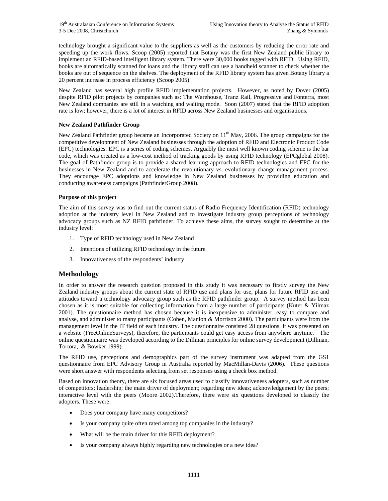technology brought a significant value to the suppliers as well as the customers by reducing the error rate and speeding up the work flows. Scoop (2005) reported that Botany was the first New Zealand public library to implement an RFID-based intelligent library system. There were 30,000 books tagged with RFID. Using RFID, books are automatically scanned for loans and the library staff can use a handheld scanner to check whether the books are out of sequence on the shelves. The deployment of the RFID library system has given Botany library a 20 percent increase in process efficiency (Scoop 2005).

New Zealand has several high profile RFID implementation projects. However, as noted by Dover (2005) despite RFID pilot projects by companies such as: The Warehouse, Tranz Rail, Progressive and Fonterra, most New Zealand companies are still in a watching and waiting mode. Soon (2007) stated that the RFID adoption rate is low; however, there is a lot of interest in RFID across New Zealand businesses and organisations.

## **New Zealand Pathfinder Group**

New Zealand Pathfinder group became an Incorporated Society on  $11<sup>th</sup>$  May, 2006. The group campaigns for the competitive development of New Zealand businesses through the adoption of RFID and Electronic Product Code (EPC) technologies. EPC is a series of coding schemes. Arguably the most well known coding scheme is the bar code, which was created as a low-cost method of tracking goods by using RFID technology (EPCglobal 2008). The goal of Pathfinder group is to provide a shared learning approach to RFID technologies and EPC for the businesses in New Zealand and to accelerate the revolutionary vs. evolutionary change management process. They encourage EPC adoptions and knowledge in New Zealand businesses by providing education and conducting awareness campaigns (PathfinderGroup 2008).

## **Purpose of this project**

The aim of this survey was to find out the current status of Radio Frequency Identification (RFID) technology adoption at the industry level in New Zealand and to investigate industry group perceptions of technology advocacy groups such as NZ RFID pathfinder. To achieve these aims, the survey sought to determine at the industry level:

- 1. Type of RFID technology used in New Zealand
- 2. Intentions of utilizing RFID technology in the future
- 3. Innovativeness of the respondents' industry

## **Methodology**

In order to answer the research question proposed in this study it was necessary to firstly survey the New Zealand industry groups about the current state of RFID use and plans for use, plans for future RFID use and attitudes toward a technology advocacy group such as the RFID pathfinder group. A survey method has been chosen as it is most suitable for collecting information from a large number of participants (Kuter & Yilmaz 2001). The questionnaire method has chosen because it is inexpensive to administer, easy to compare and analyse, and administer to many participants (Cohen, Manion & Morrison 2000). The participants were from the management level in the IT field of each industry. The questionnaire consisted 28 questions. It was presented on a website (FreeOnlineSurveys), therefore, the participants could get easy access from anywhere anytime. The online questionnaire was developed according to the Dillman principles for online survey development (Dillman, Tortora, & Bowker 1999).

The RFID use, perceptions and demographics part of the survey instrument was adapted from the GS1 questionnaire from EPC Advisory Group in Australia reported by MacMillan-Davis (2006). These questions were short answer with respondents selecting from set responses using a check box method.

Based on innovation theory, there are six focused areas used to classify innovativeness adopters, such as number of competitors; leadership; the main driver of deployment; regarding new ideas; acknowledgement by the peers; interactive level with the peers (Moore 2002).Therefore, there were six questions developed to classify the adopters. These were:

- Does your company have many competitors?
- Is your company quite often rated among top companies in the industry?
- What will be the main driver for this RFID deployment?
- Is your company always highly regarding new technologies or a new idea?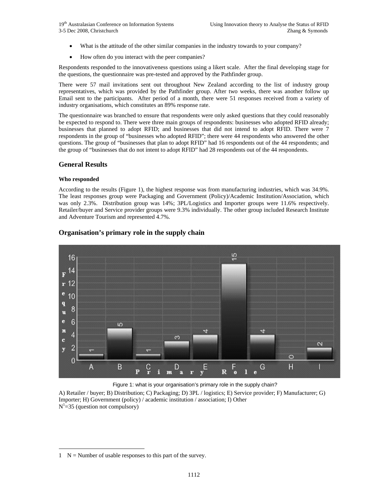- What is the attitude of the other similar companies in the industry towards to your company?
- How often do you interact with the peer companies?

Respondents responded to the innovativeness questions using a likert scale. After the final developing stage for the questions, the questionnaire was pre-tested and approved by the Pathfinder group.

There were 57 mail invitations sent out throughout New Zealand according to the list of industry group representatives, which was provided by the Pathfinder group. After two weeks, there was another follow up Email sent to the participants. After period of a month, there were 51 responses received from a variety of industry organisations, which constitutes an 89% response rate.

The questionnaire was branched to ensure that respondents were only asked questions that they could reasonably be expected to respond to. There were three main groups of respondents: businesses who adopted RFID already; businesses that planned to adopt RFID; and businesses that did not intend to adopt RFID. There were 7 respondents in the group of "businesses who adopted RFID"; there were 44 respondents who answered the other questions. The group of "businesses that plan to adopt RFID" had 16 respondents out of the 44 respondents; and the group of "businesses that do not intent to adopt RFID" had 28 respondents out of the 44 respondents.

## **General Results**

## **Who responded**

l

According to the results (Figure 1), the highest response was from manufacturing industries, which was 34.9%. The least responses group were Packaging and Government (Policy)/Academic Institution/Association, which was only 2.3%. Distribution group was 14%; 3PL/Logistics and Importer groups were 11.6% respectively. Retailer/buyer and Service provider groups were 9.3% individually. The other group included Research Institute and Adventure Tourism and represented 4.7%.



## **Organisation's primary role in the supply chain**

Figure 1: what is your organisation's primary role in the supply chain? A) Retailer / buyer; B) Distribution; C) Packaging; D) 3PL / logistics; E) Service provider; F) Manufacturer; G) Importer; H) Government (policy) / academic institution / association; I) Other  $N^1 = 35$  (question not compulsory)

 $1 \quad N =$  Number of usable responses to this part of the survey.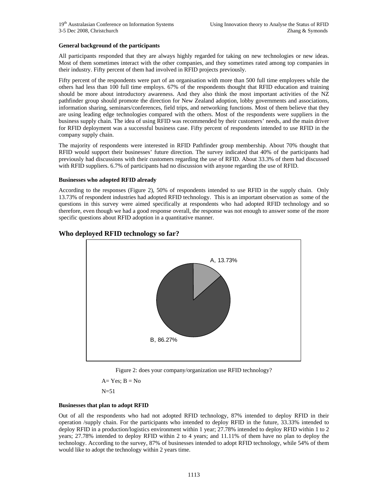## **General background of the participants**

All participants responded that they are always highly regarded for taking on new technologies or new ideas. Most of them sometimes interact with the other companies, and they sometimes rated among top companies in their industry. Fifty percent of them had involved in RFID projects previously.

Fifty percent of the respondents were part of an organisation with more than 500 full time employees while the others had less than 100 full time employs. 67% of the respondents thought that RFID education and training should be more about introductory awareness. And they also think the most important activities of the NZ pathfinder group should promote the direction for New Zealand adoption, lobby governments and associations, information sharing, seminars/conferences, field trips, and networking functions. Most of them believe that they are using leading edge technologies compared with the others. Most of the respondents were suppliers in the business supply chain. The idea of using RFID was recommended by their customers' needs, and the main driver for RFID deployment was a successful business case. Fifty percent of respondents intended to use RFID in the company supply chain.

The majority of respondents were interested in RFID Pathfinder group membership. About 70% thought that RFID would support their businesses' future direction. The survey indicated that 40% of the participants had previously had discussions with their customers regarding the use of RFID. About 33.3% of them had discussed with RFID suppliers. 6.7% of participants had no discussion with anyone regarding the use of RFID.

## **Businesses who adopted RFID already**

According to the responses (Figure 2), 50% of respondents intended to use RFID in the supply chain. Only 13.73% of respondent industries had adopted RFID technology. This is an important observation as some of the questions in this survey were aimed specifically at respondents who had adopted RFID technology and so therefore, even though we had a good response overall, the response was not enough to answer some of the more specific questions about RFID adoption in a quantitative manner.



## **Who deployed RFID technology so far?**

Figure 2: does your company/organization use RFID technology?

 $A= Yes$ ;  $B = No$ 

 $N=51$ 

## **Businesses that plan to adopt RFID**

Out of all the respondents who had not adopted RFID technology, 87% intended to deploy RFID in their operation /supply chain. For the participants who intended to deploy RFID in the future, 33.33% intended to deploy RFID in a production/logistics environment within 1 year; 27.78% intended to deploy RFID within 1 to 2 years; 27.78% intended to deploy RFID within 2 to 4 years; and 11.11% of them have no plan to deploy the technology. According to the survey, 87% of businesses intended to adopt RFID technology, while 54% of them would like to adopt the technology within 2 years time.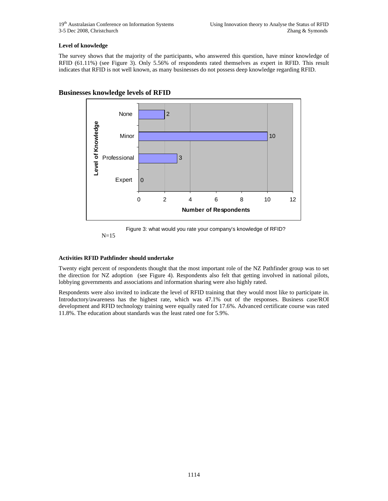## **Level of knowledge**

The survey shows that the majority of the participants, who answered this question, have minor knowledge of RFID (61.11%) (see Figure 3). Only 5.56% of respondents rated themselves as expert in RFID. This result indicates that RFID is not well known, as many businesses do not possess deep knowledge regarding RFID.



## **Businesses knowledge levels of RFID**



## **Activities RFID Pathfinder should undertake**

Twenty eight percent of respondents thought that the most important role of the NZ Pathfinder group was to set the direction for NZ adoption (see Figure 4). Respondents also felt that getting involved in national pilots, lobbying governments and associations and information sharing were also highly rated.

Respondents were also invited to indicate the level of RFID training that they would most like to participate in. Introductory/awareness has the highest rate, which was 47.1% out of the responses. Business case/ROI development and RFID technology training were equally rated for 17.6%. Advanced certificate course was rated 11.8%. The education about standards was the least rated one for 5.9%.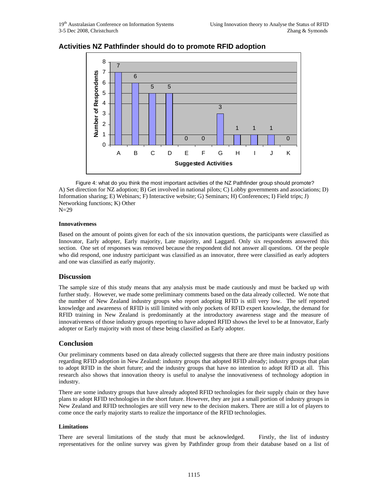

## **Activities NZ Pathfinder should do to promote RFID adoption**

Figure 4: what do you think the most important activities of the NZ Pathfinder group should promote? A) Set direction for NZ adoption; B) Get involved in national pilots; C) Lobby governments and associations; D) Information sharing; E) Webinars; F) Interactive website; G) Seminars; H) Conferences; I) Field trips; J) Networking functions; K) Other N=29

#### **Innovativeness**

Based on the amount of points given for each of the six innovation questions, the participants were classified as Innovator, Early adopter, Early majority, Late majority, and Laggard. Only six respondents answered this section. One set of responses was removed because the respondent did not answer all questions. Of the people who did respond, one industry participant was classified as an innovator, three were classified as early adopters and one was classified as early majority.

## **Discussion**

The sample size of this study means that any analysis must be made cautiously and must be backed up with further study. However, we made some preliminary comments based on the data already collected. We note that the number of New Zealand industry groups who report adopting RFID is still very low. The self reported knowledge and awareness of RFID is still limited with only pockets of RFID expert knowledge, the demand for RFID training in New Zealand is predominantly at the introductory awareness stage and the measure of innovativeness of those industry groups reporting to have adopted RFID shows the level to be at Innovator, Early adopter or Early majority with most of these being classified as Early adopter.

## **Conclusion**

Our preliminary comments based on data already collected suggests that there are three main industry positions regarding RFID adoption in New Zealand: industry groups that adopted RFID already; industry groups that plan to adopt RFID in the short future; and the industry groups that have no intention to adopt RFID at all. This research also shows that innovation theory is useful to analyse the innovativeness of technology adoption in industry.

There are some industry groups that have already adopted RFID technologies for their supply chain or they have plans to adopt RFID technologies in the short future. However, they are just a small portion of industry groups in New Zealand and RFID technologies are still very new to the decision makers. There are still a lot of players to come once the early majority starts to realize the importance of the RFID technologies.

## **Limitations**

There are several limitations of the study that must be acknowledged. Firstly, the list of industry representatives for the online survey was given by Pathfinder group from their database based on a list of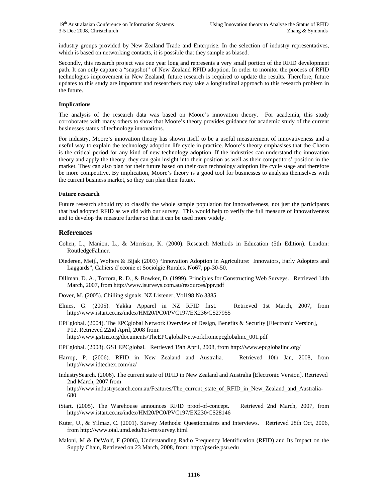industry groups provided by New Zealand Trade and Enterprise. In the selection of industry representatives, which is based on networking contacts, it is possible that they sample as biased.

Secondly, this research project was one year long and represents a very small portion of the RFID development path. It can only capture a "snapshot" of New Zealand RFID adoption. In order to monitor the process of RFID technologies improvement in New Zealand, future research is required to update the results. Therefore, future updates to this study are important and researchers may take a longitudinal approach to this research problem in the future.

#### **Implications**

The analysis of the research data was based on Moore's innovation theory. For academia, this study corroborates with many others to show that Moore's theory provides guidance for academic study of the current businesses status of technology innovations.

For industry, Moore's innovation theory has shown itself to be a useful measurement of innovativeness and a useful way to explain the technology adoption life cycle in practice. Moore's theory emphasises that the Chasm is the critical period for any kind of new technology adoption. If the industries can understand the innovation theory and apply the theory, they can gain insight into their position as well as their competitors' position in the market. They can also plan for their future based on their own technology adoption life cycle stage and therefore be more competitive. By implication, Moore's theory is a good tool for businesses to analysis themselves with the current business market, so they can plan their future.

#### **Future research**

Future research should try to classify the whole sample population for innovativeness, not just the participants that had adopted RFID as we did with our survey. This would help to verify the full measure of innovativeness and to develop the measure further so that it can be used more widely.

## **References**

- Cohen, L., Manion, L., & Morrison, K. (2000). Research Methods in Education (5th Edition). London: RoutledgeFalmer.
- Diederen, Meijl, Wolters & Bijak (2003) "Innovation Adoption in Agriculture: Innovators, Early Adopters and Laggards", Cahiers d'econie et Sociolgie Rurales, No67, pp-30-50.
- Dillman, D. A., Tortora, R. D., & Bowker, D. (1999). Principles for Constructing Web Surveys. Retrieved 14th March, 2007, from http://www.isurveys.com.au/resources/ppr.pdf
- Dover, M. (2005). Chilling signals. NZ Listener, Vol198 No 3385.
- Elmes, G. (2005). Yakka Apparel in NZ RFID first. Retrieved 1st March, 2007, from http://www.istart.co.nz/index/HM20/PC0/PVC197/EX236/CS27955
- EPCglobal. (2004). The EPCglobal Network Overview of Design, Benefits & Security [Electronic Version], P12. Retrieved 22nd April, 2008 from: http://www.gs1nz.org/documents/TheEPCglobalNetworkfromepcglobalinc\_001.pdf

EPCglobal. (2008). GS1 EPCglobal. Retrieved 19th April, 2008, from http://www.epcglobalinc.org/

Harrop, P. (2006). RFID in New Zealand and Australia. Retrieved 10th Jan, 2008, from http://www.idtechex.com/nz/

IndustrySearch. (2006). The current state of RFID in New Zealand and Australia [Electronic Version]. Retrieved 2nd March, 2007 from http://www.industrysearch.com.au/Features/The\_current\_state\_of\_RFID\_in\_New\_Zealand\_and\_Australia-680

- iStart. (2005). The Warehouse announces RFID proof-of-concept. Retrieved 2nd March, 2007, from http://www.istart.co.nz/index/HM20/PC0/PVC197/EX230/CS28146
- Kuter, U., & Yilmaz, C. (2001). Survey Methods: Questionnaires and Interviews. Retrieved 28th Oct, 2006, from http://www.otal.umd.edu/hci-rm/survey.html
- Maloni, M & DeWolf, F (2006), Understanding Radio Frequency Identification (RFID) and Its Impact on the Supply Chain, Retrieved on 23 March, 2008, from: http://pserie.psu.edu